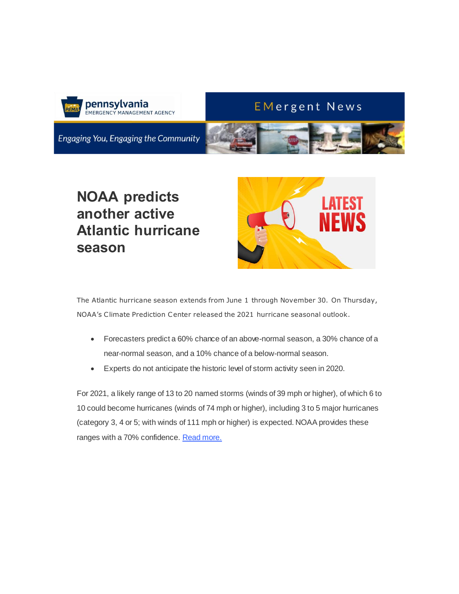

### **EMergent News**

Engaging You, Engaging the Community



# **NOAA predicts another active Atlantic hurricane season**



The Atlantic hurricane season extends from June 1 through November 30. On Thursday, NOAA's Climate Prediction Center released the 2021 hurricane seasonal outlook.

- Forecasters predict a 60% chance of an above-normal season, a 30% chance of a near-normal season, and a 10% chance of a below-normal season.
- Experts do not anticipate the historic level of storm activity seen in 2020.

For 2021, a likely range of 13 to 20 named storms (winds of 39 mph or higher), of which 6 to 10 could become hurricanes (winds of 74 mph or higher), including 3 to 5 major hurricanes (category 3, 4 or 5; with winds of 111 mph or higher) is expected. NOAA provides these ranges with a 70% confidence. [Read more.](https://gcc02.safelinks.protection.outlook.com/?url=https%3A%2F%2Ft.e2ma.net%2Fclick%2Fn4fo4c%2F7ngl0ne%2Frjesjj&data=04%7C01%7Creadypa%40pa.gov%7Cff368d4736824aa689c308d91c90d053%7C418e284101284dd59b6c47fc5a9a1bde%7C0%7C0%7C637572230572141121%7CUnknown%7CTWFpbGZsb3d8eyJWIjoiMC4wLjAwMDAiLCJQIjoiV2luMzIiLCJBTiI6Ik1haWwiLCJXVCI6Mn0%3D%7C1000&sdata=kAtj6k%2B0W3CiCUhstCA7rDKF8DT%2FQloG%2Fj7emILCS%2FU%3D&reserved=0)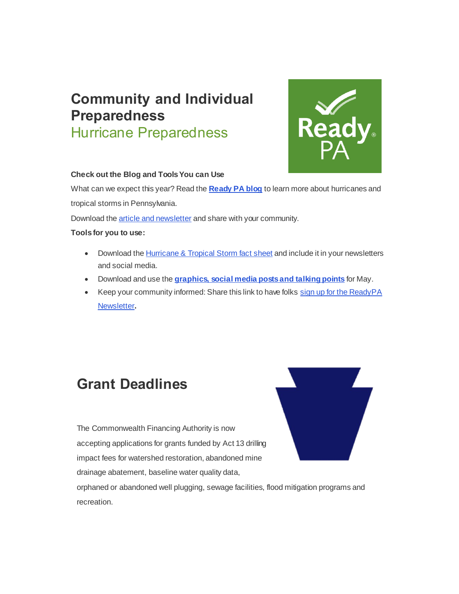# **Community and Individual Preparedness** Hurricane Preparedness



#### **Check out the Blog and Tools You can Use**

What can we expect this year? Read the **[Ready PA blog](https://gcc02.safelinks.protection.outlook.com/?url=https%3A%2F%2Ft.e2ma.net%2Fclick%2Fn4fo4c%2F7ngl0ne%2Fn4fsjj&data=04%7C01%7Creadypa%40pa.gov%7Cff368d4736824aa689c308d91c90d053%7C418e284101284dd59b6c47fc5a9a1bde%7C0%7C0%7C637572230572151077%7CUnknown%7CTWFpbGZsb3d8eyJWIjoiMC4wLjAwMDAiLCJQIjoiV2luMzIiLCJBTiI6Ik1haWwiLCJXVCI6Mn0%3D%7C1000&sdata=mFQUxGc1B27NkR8qRDSF37nURXEc4SaRvB4wjnV2vPg%3D&reserved=0)** to learn more about hurricanes and tropical storms in Pennsylvania.

Download the [article and newsletter](https://gcc02.safelinks.protection.outlook.com/?url=https%3A%2F%2Ft.e2ma.net%2Fclick%2Fn4fo4c%2F7ngl0ne%2F3wgsjj&data=04%7C01%7Creadypa%40pa.gov%7Cff368d4736824aa689c308d91c90d053%7C418e284101284dd59b6c47fc5a9a1bde%7C0%7C0%7C637572230572151077%7CUnknown%7CTWFpbGZsb3d8eyJWIjoiMC4wLjAwMDAiLCJQIjoiV2luMzIiLCJBTiI6Ik1haWwiLCJXVCI6Mn0%3D%7C1000&sdata=55gQ6qljMulLTDhl6dMpApOjthFtmC6w3D8VqzagCJk%3D&reserved=0) and share with your community.

#### **Tools for you to use:**

- Download th[e Hurricane & Tropical Storm fact sheet](https://gcc02.safelinks.protection.outlook.com/?url=https%3A%2F%2Ft.e2ma.net%2Fclick%2Fn4fo4c%2F7ngl0ne%2Fjphsjj&data=04%7C01%7Creadypa%40pa.gov%7Cff368d4736824aa689c308d91c90d053%7C418e284101284dd59b6c47fc5a9a1bde%7C0%7C0%7C637572230572161035%7CUnknown%7CTWFpbGZsb3d8eyJWIjoiMC4wLjAwMDAiLCJQIjoiV2luMzIiLCJBTiI6Ik1haWwiLCJXVCI6Mn0%3D%7C1000&sdata=Qz%2F8spSj%2BgWQNIYcNgCGe8Pus%2B3PgDzX0vcMJ5EHiE0%3D&reserved=0) and include it in your newsletters and social media.
- Download and use the **[graphics, social media posts and talking points](https://gcc02.safelinks.protection.outlook.com/?url=https%3A%2F%2Ft.e2ma.net%2Fclick%2Fn4fo4c%2F7ngl0ne%2Fzhisjj&data=04%7C01%7Creadypa%40pa.gov%7Cff368d4736824aa689c308d91c90d053%7C418e284101284dd59b6c47fc5a9a1bde%7C0%7C0%7C637572230572161035%7CUnknown%7CTWFpbGZsb3d8eyJWIjoiMC4wLjAwMDAiLCJQIjoiV2luMzIiLCJBTiI6Ik1haWwiLCJXVCI6Mn0%3D%7C1000&sdata=y%2BVP1UU9q4yI%2B3sYJzJRYsL%2FUVi2mSOQ1JWvcO9HBEY%3D&reserved=0)** for May.
- Keep your community informed: Share this link to have folks sign up for the ReadyPA [Newsletter](https://gcc02.safelinks.protection.outlook.com/?url=https%3A%2F%2Ft.e2ma.net%2Fclick%2Fn4fo4c%2F7ngl0ne%2Ffajsjj&data=04%7C01%7Creadypa%40pa.gov%7Cff368d4736824aa689c308d91c90d053%7C418e284101284dd59b6c47fc5a9a1bde%7C0%7C0%7C637572230572161035%7CUnknown%7CTWFpbGZsb3d8eyJWIjoiMC4wLjAwMDAiLCJQIjoiV2luMzIiLCJBTiI6Ik1haWwiLCJXVCI6Mn0%3D%7C1000&sdata=CMG26s9qPUkVyLhHUAWowVHk%2FWnOQ69q2UhZhKjwuyA%3D&reserved=0)**.**

## **Grant Deadlines**

The Commonwealth Financing Authority is now accepting applications for grants funded by Act 13 drilling impact fees for watershed restoration, abandoned mine drainage abatement, baseline water quality data,



orphaned or abandoned well plugging, sewage facilities, flood mitigation programs and recreation.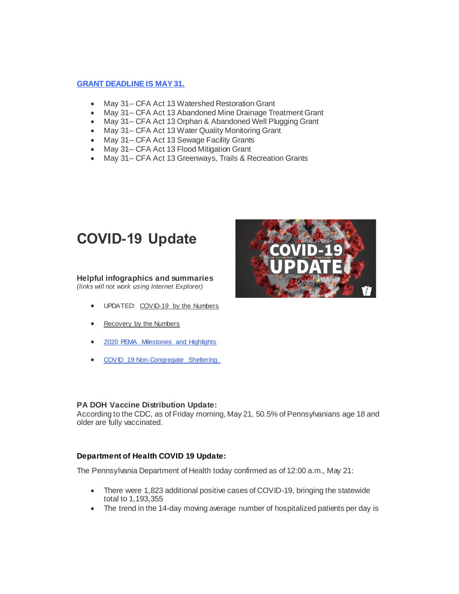#### **[GRANT DEADLINE IS MAY 31.](https://gcc02.safelinks.protection.outlook.com/?url=https%3A%2F%2Ft.e2ma.net%2Fclick%2Fn4fo4c%2F7ngl0ne%2Fv2jsjj&data=04%7C01%7Creadypa%40pa.gov%7Cff368d4736824aa689c308d91c90d053%7C418e284101284dd59b6c47fc5a9a1bde%7C0%7C0%7C637572230572170995%7CUnknown%7CTWFpbGZsb3d8eyJWIjoiMC4wLjAwMDAiLCJQIjoiV2luMzIiLCJBTiI6Ik1haWwiLCJXVCI6Mn0%3D%7C1000&sdata=3ZqL4gqUa1rO%2FWkxpAVEse%2FWrnN2L9KS7xpDGnlx2s4%3D&reserved=0)**

- May 31-- CFA Act 13 Watershed Restoration Grant
- May 31-- CFA Act 13 Abandoned Mine Drainage Treatment Grant
- May 31-- CFA Act 13 Orphan & Abandoned Well Plugging Grant
- May 31-- CFA Act 13 Water Quality Monitoring Grant
- May 31-- CFA Act 13 Sewage Facility Grants
- May 31-- CFA Act 13 Flood Mitigation Grant
- May 31-- CFA Act 13 Greenways, Trails & Recreation Grants

### **COVID-19 Update**

#### **Helpful infographics and summaries**

*(links will not work using Internet Explorer)*

- UPDATED: [COVID-19 by the Numbers](https://gcc02.safelinks.protection.outlook.com/?url=https%3A%2F%2Ft.e2ma.net%2Fclick%2Fn4fo4c%2F7ngl0ne%2Frnlsjj&data=04%7C01%7Creadypa%40pa.gov%7Cff368d4736824aa689c308d91c90d053%7C418e284101284dd59b6c47fc5a9a1bde%7C0%7C0%7C637572230572180949%7CUnknown%7CTWFpbGZsb3d8eyJWIjoiMC4wLjAwMDAiLCJQIjoiV2luMzIiLCJBTiI6Ik1haWwiLCJXVCI6Mn0%3D%7C1000&sdata=t%2FuPnCpFj2tYyxGT7iKVk1AUIJDxXcPbt%2BZbV10QdR8%3D&reserved=0)
- [Recovery by the Numbers](https://gcc02.safelinks.protection.outlook.com/?url=https%3A%2F%2Ft.e2ma.net%2Fclick%2Fn4fo4c%2F7ngl0ne%2F7fmsjj&data=04%7C01%7Creadypa%40pa.gov%7Cff368d4736824aa689c308d91c90d053%7C418e284101284dd59b6c47fc5a9a1bde%7C0%7C0%7C637572230572180949%7CUnknown%7CTWFpbGZsb3d8eyJWIjoiMC4wLjAwMDAiLCJQIjoiV2luMzIiLCJBTiI6Ik1haWwiLCJXVCI6Mn0%3D%7C1000&sdata=36b2tIYtL%2FyAuTM%2B%2B0Pe249Nf5CR0Hvx1e1ncoVmQr0%3D&reserved=0)
- [2020 PEMA Milestones and Highlights](https://gcc02.safelinks.protection.outlook.com/?url=https%3A%2F%2Ft.e2ma.net%2Fclick%2Fn4fo4c%2F7ngl0ne%2Fn8msjj&data=04%7C01%7Creadypa%40pa.gov%7Cff368d4736824aa689c308d91c90d053%7C418e284101284dd59b6c47fc5a9a1bde%7C0%7C0%7C637572230572190903%7CUnknown%7CTWFpbGZsb3d8eyJWIjoiMC4wLjAwMDAiLCJQIjoiV2luMzIiLCJBTiI6Ik1haWwiLCJXVCI6Mn0%3D%7C1000&sdata=cm%2FQzV9bHsq50IXasxB7iBgPzEsJxF73Bt6muZnXQoo%3D&reserved=0)
- [COVID 19 Non-Congregate Sheltering](https://gcc02.safelinks.protection.outlook.com/?url=https%3A%2F%2Ft.e2ma.net%2Fclick%2Fn4fo4c%2F7ngl0ne%2F30nsjj&data=04%7C01%7Creadypa%40pa.gov%7Cff368d4736824aa689c308d91c90d053%7C418e284101284dd59b6c47fc5a9a1bde%7C0%7C0%7C637572230572190903%7CUnknown%7CTWFpbGZsb3d8eyJWIjoiMC4wLjAwMDAiLCJQIjoiV2luMzIiLCJBTiI6Ik1haWwiLCJXVCI6Mn0%3D%7C1000&sdata=qQr5IVWM79PnzVWeMIRMEwkzt2xrtweFXPBO4P0D3%2Fo%3D&reserved=0)

#### **PA DOH Vaccine Distribution Update:**

According to the CDC, as of Friday morning, May 21, 50.5% of Pennsylvanians age 18 and older are fully vaccinated.

#### **Department of Health COVID 19 Update:**

The Pennsylvania Department of Health today confirmed as of 12:00 a.m., May 21:

- There were 1,823 additional positive cases of COVID-19, bringing the statewide total to 1,193,355
- The trend in the 14-day moving average number of hospitalized patients per day is

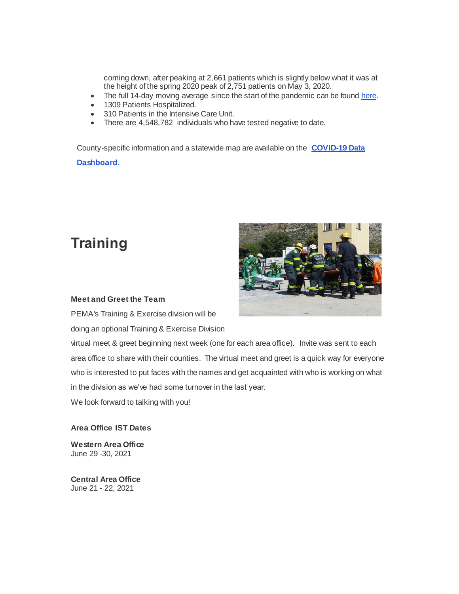coming down, after peaking at 2,661 patients which is slightly below what it was at the height of the spring 2020 peak of 2,751 patients on May 3, 2020.

- The full 14-day moving average since the start of the pandemic can be foun[d here.](https://gcc02.safelinks.protection.outlook.com/?url=https%3A%2F%2Ft.e2ma.net%2Fclick%2Fn4fo4c%2F7ngl0ne%2Fv6qsjj&data=04%7C01%7Creadypa%40pa.gov%7Cff368d4736824aa689c308d91c90d053%7C418e284101284dd59b6c47fc5a9a1bde%7C0%7C0%7C637572230572210817%7CUnknown%7CTWFpbGZsb3d8eyJWIjoiMC4wLjAwMDAiLCJQIjoiV2luMzIiLCJBTiI6Ik1haWwiLCJXVCI6Mn0%3D%7C1000&sdata=31Cae83HhGBWHS9xPLgpr%2Bmhp3kUZ42Av8wb8TDQJKA%3D&reserved=0)
- 1309 Patients Hospitalized.
- 310 Patients in the Intensive Care Unit.
- There are 4,548,782 individuals who have tested negative to date.

County-specific information and a statewide map are available on the **[COVID-19 Data](https://gcc02.safelinks.protection.outlook.com/?url=https%3A%2F%2Ft.e2ma.net%2Fclick%2Fn4fo4c%2F7ngl0ne%2Fbzrsjj&data=04%7C01%7Creadypa%40pa.gov%7Cff368d4736824aa689c308d91c90d053%7C418e284101284dd59b6c47fc5a9a1bde%7C0%7C0%7C637572230572210817%7CUnknown%7CTWFpbGZsb3d8eyJWIjoiMC4wLjAwMDAiLCJQIjoiV2luMzIiLCJBTiI6Ik1haWwiLCJXVCI6Mn0%3D%7C1000&sdata=c6DtsaNUlh2Fca4N0KuvSJ%2FVGpz34F%2FLfjZciGcBcQs%3D&reserved=0)  [Dashboard.](https://gcc02.safelinks.protection.outlook.com/?url=https%3A%2F%2Ft.e2ma.net%2Fclick%2Fn4fo4c%2F7ngl0ne%2Fbzrsjj&data=04%7C01%7Creadypa%40pa.gov%7Cff368d4736824aa689c308d91c90d053%7C418e284101284dd59b6c47fc5a9a1bde%7C0%7C0%7C637572230572210817%7CUnknown%7CTWFpbGZsb3d8eyJWIjoiMC4wLjAwMDAiLCJQIjoiV2luMzIiLCJBTiI6Ik1haWwiLCJXVCI6Mn0%3D%7C1000&sdata=c6DtsaNUlh2Fca4N0KuvSJ%2FVGpz34F%2FLfjZciGcBcQs%3D&reserved=0)** 

## **Training**



#### **Meet and Greet the Team**

PEMA's Training & Exercise division will be doing an optional Training & Exercise Division

virtual meet & greet beginning next week (one for each area office). Invite was sent to each area office to share with their counties. The virtual meet and greet is a quick way for everyone who is interested to put faces with the names and get acquainted with who is working on what in the division as we've had some turnover in the last year.

We look forward to talking with you!

#### **Area Office IST Dates**

**Western Area Office** June 29 -30, 2021

**Central Area Office** June 21 - 22, 2021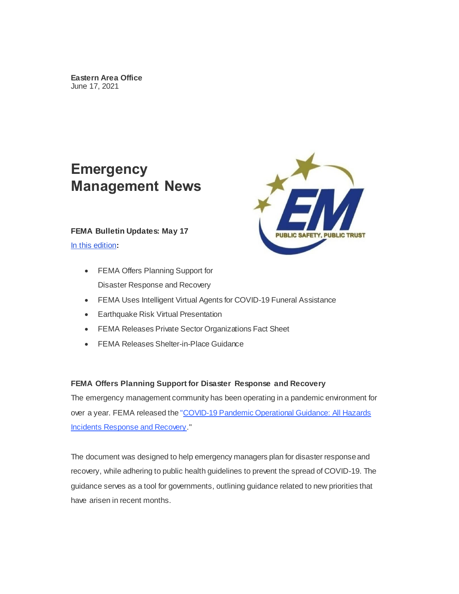## **Emergency Management News**

#### **FEMA Bulletin Updates: May 17**

[In this edition](https://gcc02.safelinks.protection.outlook.com/?url=https%3A%2F%2Ft.e2ma.net%2Fclick%2Fn4fo4c%2F7ngl0ne%2Frrssjj&data=04%7C01%7Creadypa%40pa.gov%7Cff368d4736824aa689c308d91c90d053%7C418e284101284dd59b6c47fc5a9a1bde%7C0%7C0%7C637572230572210817%7CUnknown%7CTWFpbGZsb3d8eyJWIjoiMC4wLjAwMDAiLCJQIjoiV2luMzIiLCJBTiI6Ik1haWwiLCJXVCI6Mn0%3D%7C1000&sdata=90Z%2BvnEZF9wzBCh5o9mRE9%2Bbw5SBNSv4c3sTBAX3500%3D&reserved=0)**:**

- FEMA Offers Planning Support for Disaster Response and Recovery
- FEMA Uses Intelligent Virtual Agents for COVID-19 Funeral Assistance
- Earthquake Risk Virtual Presentation
- FEMA Releases Private Sector Organizations Fact Sheet
- FEMA Releases Shelter-in-Place Guidance

#### **FEMA Offers Planning Support for Disaster Response and Recovery**

The emergency management community has been operating in a pandemic environment for over a year. FEMA released the ["COVID-19 Pandemic Operational Guidance: All Hazards](https://gcc02.safelinks.protection.outlook.com/?url=https%3A%2F%2Ft.e2ma.net%2Fclick%2Fn4fo4c%2F7ngl0ne%2F7jtsjj&data=04%7C01%7Creadypa%40pa.gov%7Cff368d4736824aa689c308d91c90d053%7C418e284101284dd59b6c47fc5a9a1bde%7C0%7C0%7C637572230572220771%7CUnknown%7CTWFpbGZsb3d8eyJWIjoiMC4wLjAwMDAiLCJQIjoiV2luMzIiLCJBTiI6Ik1haWwiLCJXVCI6Mn0%3D%7C1000&sdata=%2FckWUmjw5TjmCzSXNM63Npp5ChN0RldVOH51alZwnYk%3D&reserved=0)  [Incidents Response and Recovery](https://gcc02.safelinks.protection.outlook.com/?url=https%3A%2F%2Ft.e2ma.net%2Fclick%2Fn4fo4c%2F7ngl0ne%2F7jtsjj&data=04%7C01%7Creadypa%40pa.gov%7Cff368d4736824aa689c308d91c90d053%7C418e284101284dd59b6c47fc5a9a1bde%7C0%7C0%7C637572230572220771%7CUnknown%7CTWFpbGZsb3d8eyJWIjoiMC4wLjAwMDAiLCJQIjoiV2luMzIiLCJBTiI6Ik1haWwiLCJXVCI6Mn0%3D%7C1000&sdata=%2FckWUmjw5TjmCzSXNM63Npp5ChN0RldVOH51alZwnYk%3D&reserved=0)."

The document was designed to help emergency managers plan for disaster response and recovery, while adhering to public health guidelines to prevent the spread of COVID-19. The guidance serves as a tool for governments, outlining guidance related to new priorities that have arisen in recent months.